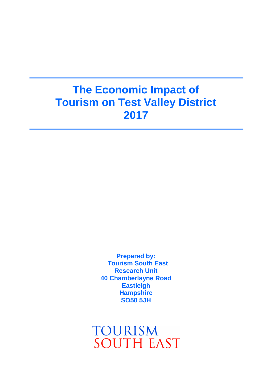# **The Economic Impact of Tourism on Test Valley District 2017**

**Prepared by: Tourism South East Research Unit 40 Chamberlayne Road Eastleigh Hampshire SO50 5JH**

**TOURISM SOUTH EAST**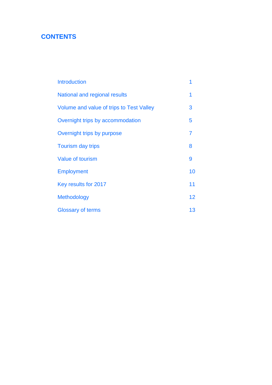# **CONTENTS**

| <b>Introduction</b>                      |    |
|------------------------------------------|----|
| National and regional results            | 1  |
| Volume and value of trips to Test Valley | 3  |
| Overnight trips by accommodation         | 5  |
| Overnight trips by purpose               | 7  |
| <b>Tourism day trips</b>                 | 8  |
| <b>Value of tourism</b>                  | 9  |
| <b>Employment</b>                        | 10 |
| Key results for 2017                     | 11 |
| <b>Methodology</b>                       | 12 |
| <b>Glossary of terms</b>                 | 13 |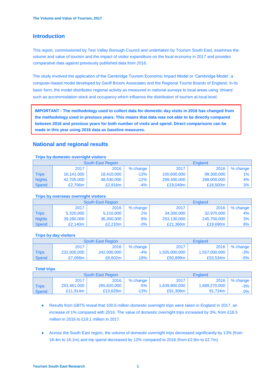# **Introduction**

This report, commissioned by Test Valley Borough Council and undertaken by Tourism South East, examines the volume and value of tourism and the impact of visitor expenditure on the local economy in 2017 and provides comparative data against previously published data from 2016.

The study involved the application of the Cambridge Tourism Economic Impact Model or 'Cambridge Model'; a computer-based model developed by Geoff Broom Associates and the Regional Tourist Boards of England. In its basic form, the model distributes regional activity as measured in national surveys to local areas using 'drivers' such as accommodation stock and occupancy which influence the distribution of tourism at local level.

**IMPORTANT - The methodology used to collect data for domestic day visits in 2016 has changed from the methodology used in previous years. This means that data was not able to be directly compared between 2016 and previous years for both number of visits and spend. Direct comparisons can be made in this year using 2016 data as baseline measures.**

# **National and regional results**

# **Trips by domestic overnight visitors** South East Region England 2017 2016 % change 2017 2016 % change Trips | 16,141,000 | 18,410,000 | -13% | 100,600,000 | 99,300,000 | 1% Nights | 42,705,000 | 48,530,000 | -12% | 299,400,000 | 288,000,000 | 4% Spend | £2,706m | £2,816m | -4% | £19,049m | £18,500m | 3%

# **Trips by overseas overnight visitors**

|               |            | South East Region | England      |             |             |          |
|---------------|------------|-------------------|--------------|-------------|-------------|----------|
|               | 2017       | 2016              | % change $ $ | 2017        | 2016        | % change |
| <b>Trips</b>  | 5,320,000  | 5,210,000         | 2%           | 34,300,000  | 32,970,000  | 4%       |
| <b>Nights</b> | 39,260,000 | 36,300,000        | $8\%$        | 253,130,000 | 245,700,000 | 3%       |
| Spend         | £2.140m    | £2.210m           | $-3%$        | £21.360m    | £19,690m    | 8%       |

# **Trips by day visitors**

|              |             | <b>South East Region</b> |            | England       |               |          |
|--------------|-------------|--------------------------|------------|---------------|---------------|----------|
|              | 2017        | 2016                     | $%$ change | 2017          | 2016          | % change |
| <b>Trips</b> | 232,000,000 | 242,000,000              | -4%        | 1,505,000,000 | 1,557,000,000 | $-3%$    |
| Spend        | £7.068m     | £8.602m                  | -18%       | £50,899m      | £53,534m      | $-5\%$   |

# **Total trips**

|              |             | South East Region |          | <b>England</b>          |               |          |
|--------------|-------------|-------------------|----------|-------------------------|---------------|----------|
|              | 2017        | 2016              | % change | 2017                    | 2016          | % change |
| <b>Trips</b> | 253,461,000 | 265,620,000       | $-5%$    | 1,639,900,000           | 1,689,270,000 | $-3\%$   |
| Spend        | £11.914m    | £13,628m          | -13%     | $£91,308m$ <sup>1</sup> | 91.724m       | $0\%$    |

- Results from GBTS reveal that 100.6 million domestic overnight trips were taken in England in 2017, an increase of 1% compared with 2016. The value of domestic overnight trips increased by 3%, from £18.5 million in 2016 to £19.1 million in 2017.
- Across the South East region, the volume of domestic overnight trips decreased significantly by 13% (from 18.4m to 16.1m) and trip spend decreased by 12% compared to 2016 (from £2.8m to £2.7m).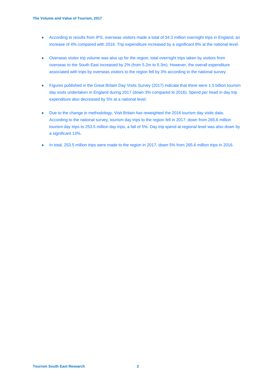- According to results from IPS, overseas visitors made a total of 34.3 million overnight trips in England, an increase of 4% compared with 2016. Trip expenditure increased by a significant 8% at the national level.
- Overseas visitor trip volume was also up for the region; total overnight trips taken by visitors from overseas to the South East increased by 2% (from 5.2m to 5.3m). However, the overall expenditure associated with trips by overseas visitors to the region fell by 3% according to the national survey.
- Figures published in the Great Britain Day Visits Survey (2017) indicate that there were 1.5 billion tourism day visits undertaken in England during 2017 (down 3% compared to 2016). Spend per head in day trip expenditure also decreased by 5% at a national level.
- Due to the change in methodology, Visit Britain has reweighted the 2016 tourism day visits data. According to the national survey, tourism day trips to the region fell in 2017; down from 265.6 million tourism day trips to 253.5 million day trips, a fall of 5%. Day trip spend at regional level was also down by a significant 13%.
- In total, 253.5 million trips were made to the region in 2017, down 5% from 265.6 million trips in 2016.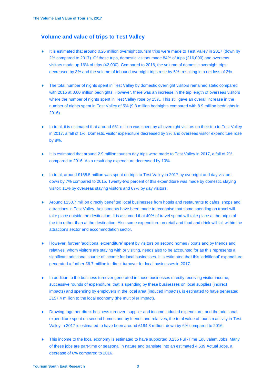# **Volume and value of trips to Test Valley**

- It is estimated that around 0.26 million overnight tourism trips were made to Test Valley in 2017 (down by 2% compared to 2017). Of these trips, domestic visitors made 84% of trips (216,000) and overseas visitors made up 16% of trips (42,000). Compared to 2016, the volume of domestic overnight trips decreased by 3% and the volume of inbound overnight trips rose by 5%, resulting in a net loss of 2%.
- The total number of nights spent in Test Valley by domestic overnight visitors remained static compared with 2016 at 0.60 million bednights. However, there was an increase in the trip length of overseas visitors where the number of nights spent in Test Valley rose by 15%. This still gave an overall increase in the number of nights spent in Test Valley of 5% (9.3 million bednights compared with 8.9 million bednights in 2016).
- In total, it is estimated that around £51 million was spent by all overnight visitors on their trip to Test Valley in 2017, a fall of 1%. Domestic visitor expenditure decreased by 3% and overseas visitor expenditure rose by 8%.
- It is estimated that around 2.9 million tourism day trips were made to Test Valley in 2017, a fall of 2% compared to 2016. As a result day expenditure decreased by 10%.
- ◆ In total, around £158.5 million was spent on trips to Test Valley in 2017 by overnight and day visitors, down by 7% compared to 2015. Twenty-two percent of this expenditure was made by domestic staying visitor; 11% by overseas staying visitors and 67% by day visitors.
- Around £150.7 million directly benefited local businesses from hotels and restaurants to cafes, shops and attractions in Test Valley. Adjustments have been made to recognise that some spending on travel will take place outside the destination. It is assumed that 40% of travel spend will take place at the origin of the trip rather than at the destination. Also some expenditure on retail and food and drink will fall within the attractions sector and accommodation sector.
- However, further 'additional expenditure' spent by visitors on second homes / boats and by friends and relatives, whom visitors are staying with or visiting, needs also to be accounted for as this represents a significant additional source of income for local businesses. It is estimated that this 'additional' expenditure generated a further £6.7 million in direct turnover for local businesses in 2017.
- In addition to the business turnover generated in those businesses directly receiving visitor income, successive rounds of expenditure, that is spending by these businesses on local supplies (indirect impacts) and spending by employers in the local area (induced impacts), is estimated to have generated £157.4 million to the local economy (the multiplier impact).
- Drawing together direct business turnover, supplier and income induced expenditure, and the additional expenditure spent on second homes and by friends and relatives, the total value of tourism activity in Test Valley in 2017 is estimated to have been around £194.8 million, down by 6% compared to 2016.
- This income to the local economy is estimated to have supported 3,235 Full-Time Equivalent Jobs. Many of these jobs are part-time or seasonal in nature and translate into an estimated 4,539 Actual Jobs, a decrease of 6% compared to 2016.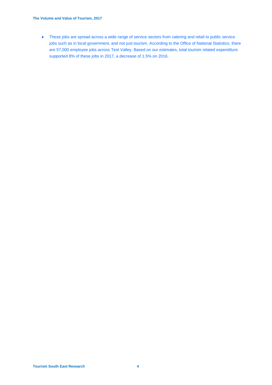These jobs are spread across a wide range of service sectors from catering and retail to public service jobs such as in local government, and not just tourism. According to the Office of National Statistics, there are 57,000 employee jobs across Test Valley. Based on our estimates, total tourism related expenditure supported 8% of these jobs in 2017, a decrease of 1.5% on 2016.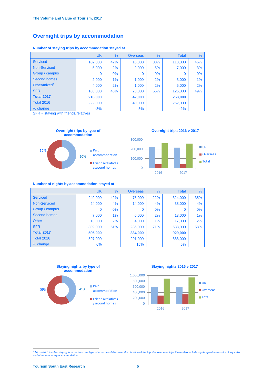# **Overnight trips by accommodation**

|                     | <b>UK</b> | $\%$  | <b>Overseas</b> | %     | <b>Total</b> | %   |
|---------------------|-----------|-------|-----------------|-------|--------------|-----|
| <b>Serviced</b>     | 102,000   | 47%   | 16,000          | 38%   | 118,000      | 46% |
| <b>Non-Serviced</b> | 5,000     | 2%    | 2,000           | 5%    | 7,000        | 3%  |
| Group / campus      | $\Omega$  | $0\%$ | $\Omega$        | $0\%$ | $\Omega$     | 0%  |
| <b>Second homes</b> | 2,000     | 1%    | 1,000           | 2%    | 3,000        | 1%  |
| Other/mixed $1$     | 4,000     | 2%    | 1,000           | 2%    | 5,000        | 2%  |
| <b>SFR</b>          | 103,000   | 48%   | 23,000          | 55%   | 126,000      | 49% |
| <b>Total 2017</b>   | 216,000   |       | 42,000          |       | 258,000      |     |
| <b>Total 2016</b>   | 222,000   |       | 40,000          |       | 262,000      |     |
| % change            | $-3%$     |       | 5%              |       | $-2%$        |     |

**Number of staying trips by accommodation stayed at** 

SFR = staying with friends/relatives



### **Number of nights by accommodation stayed at**

|                     | <b>UK</b> | %     | <b>Overseas</b> | $\frac{9}{6}$ | <b>Total</b> | %   |
|---------------------|-----------|-------|-----------------|---------------|--------------|-----|
| <b>Serviced</b>     | 249,000   | 42%   | 75,000          | 22%           | 324,000      | 35% |
| <b>Non-Serviced</b> | 24,000    | 4%    | 14,000          | 4%            | 38,000       | 4%  |
| Group / campus      | $\Omega$  | $0\%$ | $\Omega$        | 0%            | 0            | 0%  |
| <b>Second homes</b> | 7,000     | $1\%$ | 6,000           | 2%            | 13,000       | 1%  |
| Other               | 13,000    | 2%    | 4,000           | $1\%$         | 17,000       | 2%  |
| <b>SFR</b>          | 302,000   | 51%   | 236,000         | <b>71%</b>    | 538,000      | 58% |
| <b>Total 2017</b>   | 595,000   |       | 334,000         |               | 929,000      |     |
| <b>Total 2016</b>   | 597,000   |       | 291,000         |               | 888,000      |     |
| % change            | $0\%$     |       | 15%             |               | 5%           |     |



# <sup>1</sup> *Trips which involve staying in more than one type of accommodation over the duration of the trip. For overseas trips these also include nights spent in transit, in lorry cabs and other temporary ac*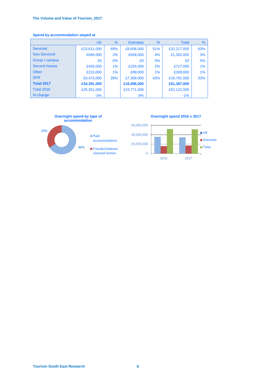# **The Volume and Value of Tourism, 2017**

# **Spend by accommodation stayed at**

|                     | <b>UK</b>   | %     | <b>Overseas</b> | %     | <b>Total</b> | %   |
|---------------------|-------------|-------|-----------------|-------|--------------|-----|
| <b>Serviced</b>     | £23,611,000 | 69%   | £8,606,000      | 51%   | £32,217,000  | 63% |
| Non-Serviced        | £694,000    | 2%    | £658,000        | 4%    | £1,352,000   | 3%  |
| Group / campus      | £0          | $0\%$ | £0              | $0\%$ | £0           | 0%  |
| <b>Second homes</b> | £403,000    | 1%    | £324,000        | 2%    | £727,000     | 1%  |
| Other               | £210,000    | $1\%$ | £99,000         | $1\%$ | £309,000     | 1%  |
| <b>SFR</b>          | £9,472,000  | 28%   | £7,309,000      | 43%   | £16,781,000  | 33% |
| <b>Total 2017</b>   | £34,391,000 |       | £16,996,000     |       | £51,387,000  |     |
| <b>Total 2016</b>   | £35,351,000 |       | £15,771,000     |       | £52,122,000  |     |
| % change            | $-3%$       |       | 8%              |       | $-1%$        |     |



**Tourism South East Research 6**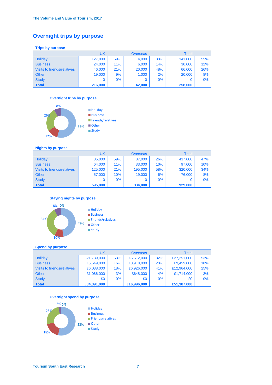# **Overnight trips by purpose**

# **Trips by purpose**

|                             | UK      |            | <b>Overseas</b> |       | <b>Total</b> |     |
|-----------------------------|---------|------------|-----------------|-------|--------------|-----|
| <b>Holiday</b>              | 127,000 | 59%        | 14,000          | 33%   | 141,000      | 55% |
| <b>Business</b>             | 24,000  | <b>11%</b> | 6,000           | 14%   | 30,000       | 12% |
| Visits to friends/relatives | 46,000  | 21%        | 20,000          | 48%   | 66,000       | 26% |
| <b>Other</b>                | 19,000  | 9%         | 1,000           | 2%    | 20,000       | 8%  |
| <b>Study</b>                |         | $0\%$      |                 | $0\%$ |              | 0%  |
| <b>Total</b>                | 216,000 |            | 42,000          |       | 258,000      |     |

# **Overnight trips by purpose**



# **Nights by purpose**

|                                    | UK      |     | <b>Overseas</b> |     | <b>Total</b> |     |
|------------------------------------|---------|-----|-----------------|-----|--------------|-----|
| Holiday                            | 35,000  | 59% | 87,000          | 26% | 437,000      | 47% |
| <b>Business</b>                    | 64,000  | 11% | 33,000          | 10% | 97,000       | 10% |
| <b>Visits to friends/relatives</b> | 125,000 | 21% | 195,000         | 58% | 320,000      | 34% |
| <b>Other</b>                       | 57,000  | 10% | 19,000          | 6%  | 76,000       | 8%  |
| <b>Study</b>                       |         | 0%  |                 | 0%  | 0            | 0%  |
| <b>Total</b>                       | 595,000 |     | 334,000         |     | 929,000      |     |

# **Staying nights by purpose**



### **Spend by purpose**

|                                    |             | <b>Overseas</b> |             | <b>Total</b> |             |     |
|------------------------------------|-------------|-----------------|-------------|--------------|-------------|-----|
| Holiday                            | £21,739,000 | 63%             | £5,512,000  | 32%          | £27,251,000 | 53% |
| <b>Business</b>                    | £5,549,000  | 16%             | £3,910,000  | 23%          | £9,459,000  | 18% |
| <b>Visits to friends/relatives</b> | £6,038,000  | 18%             | £6,926,000  | 41%          | £12,964,000 | 25% |
| <b>Other</b>                       | £1,066,000  | 3%              | £648,000    | 4%           | £1,714,000  | 3%  |
| <b>Study</b>                       | £0          | $0\%$           | £0          | $0\%$        | £0          | 0%  |
| <b>Total</b>                       | £34,391,000 |                 | £16,996,000 |              | £51,387,000 |     |



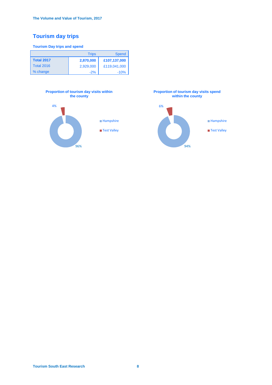# **Tourism day trips**

### **Tourism Day trips and spend**

|                   | <b>Trips</b> | <b>Spend</b> |
|-------------------|--------------|--------------|
| <b>Total 2017</b> | 2,870,000    | £107,137,000 |
| <b>Total 2016</b> | 2,929,000    | £119,041,000 |
| % change          | $-2%$        | $-10%$       |





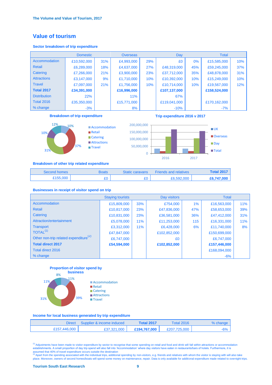# **Value of tourism**

### **Sector breakdown of trip expenditure**

| <b>Domestic</b>     |             |     | <b>Overseas</b> |     | Day          |     | <b>Total</b> |     |
|---------------------|-------------|-----|-----------------|-----|--------------|-----|--------------|-----|
| Accommodation       | £10,592,000 | 31% | £4,993,000      | 29% | £0           | 0%  | £15,585,000  | 10% |
| Retail              | £6,289,000  | 18% | £4,637,000      | 27% | £48,319,000  | 45% | £59,245,000  | 37% |
| Catering            | £7,266,000  | 21% | £3,900,000      | 23% | £37,712,000  | 35% | £48,878,000  | 31% |
| <b>Attractions</b>  | £3,147,000  | 9%  | £1,710,000      | 10% | £10,392,000  | 10% | £15,249,000  | 10% |
| <b>Travel</b>       | £7,097,000  | 21% | £1,756,000      | 10% | £10,714,000  | 10% | £19,567,000  | 12% |
| <b>Total 2017</b>   | £34,391,000 |     | £16,996,000     |     | £107,137,000 |     | £158,524,000 |     |
| <b>Distribution</b> | 22%         |     | 11%             |     | 67%          |     |              |     |
| <b>Total 2016</b>   | £35,350,000 |     | £15,771,000     |     | £119,041,000 |     | £170,162,000 |     |
| % change            | $-3%$       |     | 8%              |     | $-10%$       |     | $-7%$        |     |

### **Breakdown of trip expenditure**



**Accommodation** Retail **Catering Attractions Travel** 



**Trip expenditure 2016 v 2017**

### **Breakdown of other trip related expenditure**

| Second homes | Boats | <b>Static caravans</b> | <b>Friends and relatives</b> | <b>Total 2017</b> |
|--------------|-------|------------------------|------------------------------|-------------------|
| £155,000     |       |                        | £6,592,000                   | £6,747,000        |

#### **Businesses in receipt of visitor spend on trip**

|                                                   | <b>Staying tourists</b> |            | Day visitors |       | <b>Total</b> |            |
|---------------------------------------------------|-------------------------|------------|--------------|-------|--------------|------------|
| Accommodation                                     | £15,809,000             | 33%        | £754,000     | $1\%$ | £16,563,000  | <b>11%</b> |
| <b>Retail</b>                                     | £10,817,000             | 23%        | £47,836,000  | 47%   | £58,653,000  | 39%        |
| Catering                                          | £10,831,000             | 23%        | £36,581,000  | 36%   | £47,412,000  | 31%        |
| Attraction/entertainment                          | £5,078,000              | <b>11%</b> | £11,253,000  | 115   | £16,331,000  | <b>11%</b> |
| <b>Transport</b>                                  | £3,312,000              | <b>11%</b> | £6,428,000   | 6%    | £11,740,000  | 8%         |
| TOTAL <sup>(1)</sup>                              | £47,847,000             |            | £102,852,000 |       | £150,699,000 |            |
| Other non-trip related expenditure <sup>(2)</sup> | £6,747,000              |            | £0           |       | £6,747,000   |            |
| <b>Total direct 2017</b>                          | £54,594,000             |            | £102,852,000 |       | £157,446,000 |            |
| Total direct 2016                                 |                         |            |              |       | £168,094,000 |            |
| % change                                          |                         |            |              |       | $-6%$        |            |

#### **Proportion of visitor spend by business**



#### **Income for local business generated by trip expenditure**

| <b>Direct</b> | Supplier & income induced | <b>Total 2017</b> | <b>Total 2016</b> | % change |
|---------------|---------------------------|-------------------|-------------------|----------|
| £157,446,000  | £37,321,000               | £194.767.000      | £207.725,000      | $-6\%$   |

<sup>(1)</sup> Adjustments have been made to visitor expenditure by sector to recognise that some spending on retail and food and drink will fall within attractions or accommodation establishments. A small proportion of day trip sp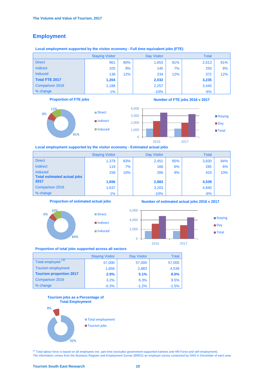# **Employment**

### **Local employment supported by the visitor economy - Full time equivalent jobs (FTE)**

|                        | <b>Staying Visitor</b> |     | <b>Day Visitor</b> |     | <b>Total</b> |     |
|------------------------|------------------------|-----|--------------------|-----|--------------|-----|
| <b>Direct</b>          | 961                    | 80% | 1,653              | 81% | 2,613        | 81% |
| <b>Indirect</b>        | 105                    | 9%  | 145                | 7%  | 250          | 8%  |
| Induced                | 138                    | 12% | 234                | 12% | 372          | 12% |
| <b>Total FTE 2017</b>  | 1,204                  |     | 2,032              |     | 3,235        |     |
| <b>Comparison 2016</b> | 1,188                  |     | 2,257              |     | 3,445        |     |
| % change               | $1\%$                  |     | $-10%$             |     | $-6%$        |     |

### **Proportion of FTE jobs**







 **Local employment supported by the visitor economy - Estimated actual jobs**

|                                                      | <b>Staying Visitor</b> |     | <b>Day Visitor</b> |     | <b>Total</b> |     |
|------------------------------------------------------|------------------------|-----|--------------------|-----|--------------|-----|
| <b>Direct</b>                                        | 1,379                  | 83% | 2,451              | 85% | 3,830        | 84% |
| <b>Indirect</b>                                      | 119                    | 7%  | 166                | 6%  | 285          | 6%  |
| <b>Induced</b><br><b>Total estimated actual jobs</b> | 158                    | 10% | 266                | 9%  | 424          | 10% |
| 2017                                                 | 1,656                  |     | 2,883              |     | 4,539        |     |
| <b>Comparison 2016</b>                               | 1,637                  |     | 3,203              |     | 4,840        |     |
| % change                                             | $1\%$                  |     | $-10%$             |     | $-6%$        |     |

0

### **Proportion of estimated actual jobs**







**Number of estimated actual jobs 2016 v 2017**



■Total

# 2016 2017

#### **Proportion of total jobs supported across all sectors**

|                                | <b>Staying Visitor</b> | <b>Day Visitor</b> | <b>Total</b> |
|--------------------------------|------------------------|--------------------|--------------|
| Total employed <sup>(3)</sup>  | 57,000                 | 57,000             | 57,000       |
| <b>Tourism employment</b>      | 1,656                  | 2,883              | 4,539        |
| <b>Tourism proportion 2017</b> | 2.9%                   | 5.1%               | 8.0%         |
| <b>Comparison 2016</b>         | 3.2%                   | 6.3%               | 9.5%         |
| % change                       | $-0.3%$                | $-1.2%$            | $-1.5%$      |

#### **Tourism jobs as a Percentage of Total Employment**



(3) Total labour force is based on all employees incl. part-time (excludes government-supported trainees and HM Force and self-employment). The information comes from the Business Register and Employment Survey (BRES) an employer survey conducted by ONS in December of each year.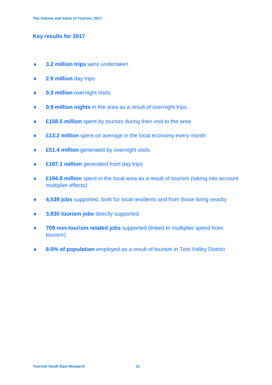# **Key results for 2017**

- **3.2 million trips** were undertaken
- **2.9 million** day trips
- **0.3 million** overnight visits
- **0.9 million nights** in the area as a result of overnight trips
- **£158.5 million** spent by tourists during their visit to the area
- **£13.2 million** spent on average in the local economy every month
- **£51.4 million** generated by overnight visits
- **£107.1 million** generated from day trips
- **£194.8 million** spent in the local area as a result of tourism (taking into account multiplier effects)
- **4,539 jobs** supported, both for local residents and from those living nearby
- **3,830 tourism jobs** directly supported
- **709 non-tourism related jobs** supported (linked to multiplier spend from tourism)
- **8.0% of population** employed as a result of tourism in Test Valley District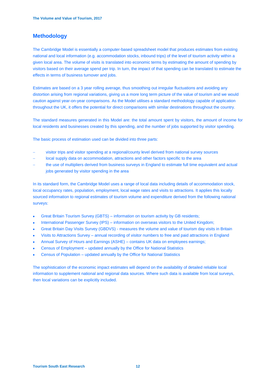# **Methodology**

The Cambridge Model is essentially a computer-based spreadsheet model that produces estimates from existing national and local information (e.g. accommodation stocks, inbound trips) of the level of tourism activity within a given local area. The volume of visits is translated into economic terms by estimating the amount of spending by visitors based on their average spend per trip. In turn, the impact of that spending can be translated to estimate the effects in terms of business turnover and jobs.

Estimates are based on a 3 year rolling average, thus smoothing out irregular fluctuations and avoiding any distortion arising from regional variations, giving us a more long term picture of the value of tourism and we would caution against year-on-year comparisons. As the Model utilises a standard methodology capable of application throughout the UK, it offers the potential for direct comparisons with similar destinations throughout the country.

The standard measures generated in this Model are: the total amount spent by visitors, the amount of income for local residents and businesses created by this spending, and the number of jobs supported by visitor spending.

The basic process of estimation used can be divided into three parts:

- visitor trips and visitor spending at a regional/county level derived from national survey sources
- local supply data on accommodation, attractions and other factors specific to the area
- the use of multipliers derived from business surveys in England to estimate full time equivalent and actual jobs generated by visitor spending in the area

In its standard form, the Cambridge Model uses a range of local data including details of accommodation stock, local occupancy rates, population, employment, local wage rates and visits to attractions. It applies this locally sourced information to regional estimates of tourism volume and expenditure derived from the following national surveys:

- Great Britain Tourism Survey (GBTS) information on tourism activity by GB residents;
- International Passenger Survey (IPS) information on overseas visitors to the United Kingdom;
- Great Britain Day Visits Survey (GBDVS) measures the volume and value of tourism day visits in Britain
- Visits to Attractions Survey annual recording of visitor numbers to free and paid attractions in England
- Annual Survey of Hours and Earnings (ASHE) contains UK data on employees earnings;
- Census of Employment updated annually by the Office for National Statistics
- Census of Population updated annually by the Office for National Statistics

The sophistication of the economic impact estimates will depend on the availability of detailed reliable local information to supplement national and regional data sources. Where such data is available from local surveys, then local variations can be explicitly included.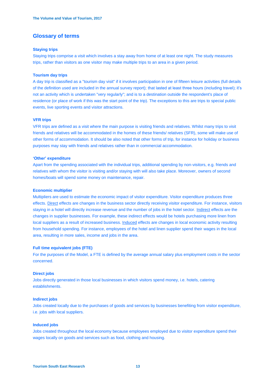# **Glossary of terms**

### **Staying trips**

Staying trips comprise a visit which involves a stay away from home of at least one night. The study measures trips, rather than visitors as one visitor may make multiple trips to an area in a given period.

### **Tourism day trips**

A day trip is classified as a "tourism day visit" if it involves participation in one of fifteen leisure activities (full details of the definition used are included in the annual survey report); that lasted at least three hours (including travel); it's not an activity which is undertaken "very regularly"; and is to a destination outside the respondent's place of residence (or place of work if this was the start point of the trip). The exceptions to this are trips to special public events, live sporting events and visitor attractions.

### **VFR trips**

VFR trips are defined as a visit where the main purpose is visiting friends and relatives. Whilst many trips to visit friends and relatives will be accommodated in the homes of these friends/ relatives (SFR), some will make use of other forms of accommodation. It should be also noted that other forms of trip, for instance for holiday or business purposes may stay with friends and relatives rather than in commercial accommodation.

### **'Other' expenditure**

Apart from the spending associated with the individual trips, additional spending by non-visitors, e.g. friends and relatives with whom the visitor is visiting and/or staying with will also take place. Moreover, owners of second homes/boats will spend some money on maintenance, repair.

#### **Economic multiplier**

Multipliers are used to estimate the economic impact of visitor expenditure. Visitor expenditure produces three effects. Direct effects are changes in the business sector directly receiving visitor expenditure. For instance, visitors staying in a hotel will directly increase revenue and the number of jobs in the hotel sector. Indirect effects are the changes in supplier businesses. For example, these indirect effects would be hotels purchasing more linen from local suppliers as a result of increased business. Induced effects are changes in local economic activity resulting from household spending. For instance, employees of the hotel and linen supplier spend their wages in the local area, resulting in more sales, income and jobs in the area.

### **Full time equivalent jobs (FTE)**

For the purposes of the Model, a FTE is defined by the average annual salary plus employment costs in the sector concerned.

### **Direct jobs**

Jobs directly generated in those local businesses in which visitors spend money, i.e. hotels, catering establishments.

#### **Indirect jobs**

Jobs created locally due to the purchases of goods and services by businesses benefiting from visitor expenditure, i.e. jobs with local suppliers.

### **Induced jobs**

Jobs created throughout the local economy because employees employed due to visitor expenditure spend their wages locally on goods and services such as food, clothing and housing.